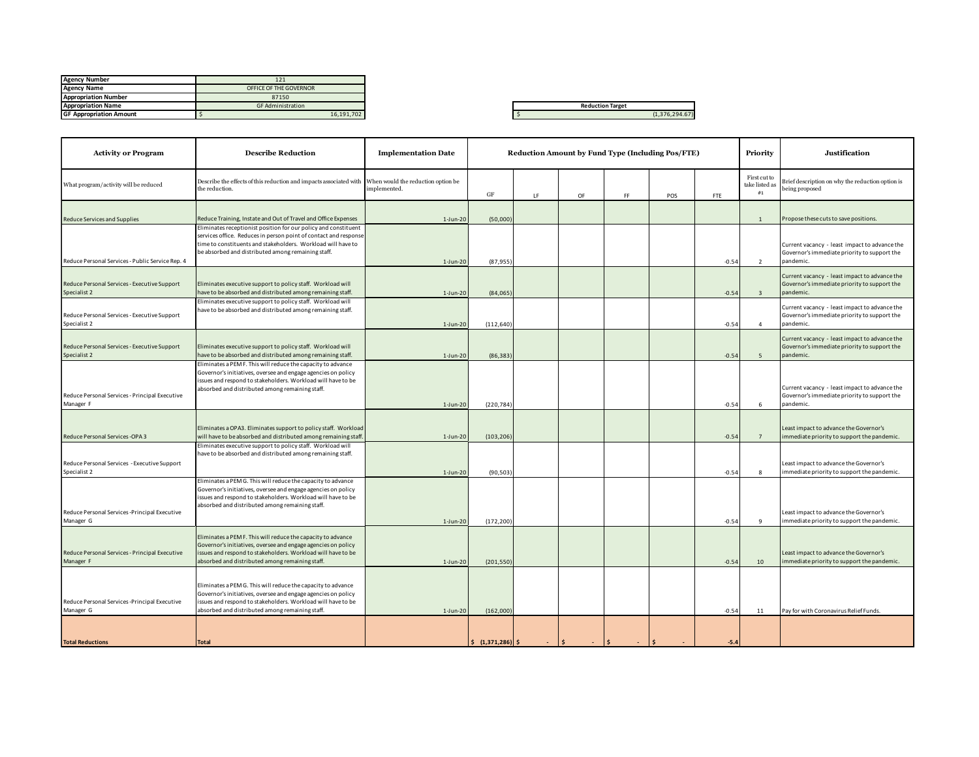| <b>Agency Number</b>           | 121                      |
|--------------------------------|--------------------------|
| <b>Agency Name</b>             | OFFICE OF THE GOVERNOR   |
| <b>Appropriation Number</b>    | 87150                    |
| <b>Appropriation Name</b>      | <b>GF Administration</b> |
| <b>GF Appropriation Amount</b> | 16.191.702               |
|                                |                          |

|  |  | (1,376,294.67) |
|--|--|----------------|

| <b>Activity or Program</b>                                   | <b>Describe Reduction</b>                                                                                                                                                                                                                                 | <b>Implementation Date</b>                         | <b>Reduction Amount by Fund Type (Including Pos/FTE)</b> |             |                      |            |                      |         | Priority                             | <b>Justification</b>                                                                                       |
|--------------------------------------------------------------|-----------------------------------------------------------------------------------------------------------------------------------------------------------------------------------------------------------------------------------------------------------|----------------------------------------------------|----------------------------------------------------------|-------------|----------------------|------------|----------------------|---------|--------------------------------------|------------------------------------------------------------------------------------------------------------|
| What program/activity will be reduced                        | Describe the effects of this reduction and impacts associated with<br>the reduction.                                                                                                                                                                      | When would the reduction option be<br>implemented. | GF                                                       | <b>LF</b>   | OF                   | FF         | POS                  | FTE     | First cut to<br>take listed as<br>#1 | Brief description on why the reduction option is<br>being proposed                                         |
| Reduce Services and Supplies                                 | Reduce Training, Instate and Out of Travel and Office Expenses                                                                                                                                                                                            | $1-Jun-20$                                         | (50,000)                                                 |             |                      |            |                      |         | 1                                    | Propose these cuts to save positions.                                                                      |
| Reduce Personal Services - Public Service Rep. 4             | Eliminates receptionist position for our policy and constituent<br>services office. Reduces in person point of contact and response<br>time to constituents and stakeholders. Workload will have to<br>be absorbed and distributed among remaining staff. | $1-Jun-20$                                         | (87, 955                                                 |             |                      |            |                      | $-0.54$ | 2                                    | Current vacancy - least impact to advance the<br>Governor's immediate priority to support the<br>pandemic. |
| Reduce Personal Services - Executive Support<br>Specialist 2 | Eliminates executive support to policy staff. Workload will<br>have to be absorbed and distributed among remaining staff.                                                                                                                                 | $1-Jun-20$                                         | (84,065)                                                 |             |                      |            |                      | $-0.54$ | $\overline{\mathbf{3}}$              | Current vacancy - least impact to advance the<br>Governor's immediate priority to support the<br>pandemic. |
| Reduce Personal Services - Executive Support<br>Specialist 2 | Eliminates executive support to policy staff. Workload will<br>have to be absorbed and distributed among remaining staff.                                                                                                                                 | $1-Jun-20$                                         | (112, 640)                                               |             |                      |            |                      | $-0.54$ | $\overline{4}$                       | Current vacancy - least impact to advance the<br>Governor's immediate priority to support the<br>pandemic. |
| Reduce Personal Services - Executive Support<br>Specialist 2 | Eliminates executive support to policy staff. Workload will<br>have to be absorbed and distributed among remaining staff.                                                                                                                                 | $1-Jun-20$                                         | (86, 383)                                                |             |                      |            |                      | $-0.54$ | $\overline{\phantom{a}}$             | Current vacancy - least impact to advance the<br>Governor's immediate priority to support the<br>andemic.  |
| Reduce Personal Services - Principal Executive<br>Manager F  | Eliminates a PEM F. This will reduce the capacity to advance<br>Governor's initiatives, oversee and engage agencies on policy<br>issues and respond to stakeholders. Workload will have to be<br>absorbed and distributed among remaining staff.          | $1-Jun-20$                                         | (220, 784)                                               |             |                      |            |                      | $-0.54$ | 6                                    | Current vacancy - least impact to advance the<br>Governor's immediate priority to support the<br>pandemic. |
| Reduce Personal Services -OPA 3                              | Eliminates a OPA3. Eliminates support to policy staff. Workload<br>will have to be absorbed and distributed among remaining staff                                                                                                                         | $1-Jun-20$                                         | (103, 206)                                               |             |                      |            |                      | $-0.54$ | $\overline{7}$                       | Least impact to advance the Governor's<br>mmediate priority to support the pandemic.                       |
| Reduce Personal Services - Executive Support<br>Specialist 2 | Eliminates executive support to policy staff. Workload will<br>have to be absorbed and distributed among remaining staff.                                                                                                                                 | $1-Jun-20$                                         | (90, 503)                                                |             |                      |            |                      | $-0.54$ | 8                                    | Least impact to advance the Governor's<br>mmediate priority to support the pandemic.                       |
| Reduce Personal Services -Principal Executive<br>Manager G   | Eliminates a PEM G. This will reduce the capacity to advance<br>Governor's initiatives, oversee and engage agencies on policy<br>issues and respond to stakeholders. Workload will have to be<br>absorbed and distributed among remaining staff.          | $1-Jun-20$                                         | (172, 200)                                               |             |                      |            |                      | $-0.54$ | $\mathbf{q}$                         | Least impact to advance the Governor's<br>mmediate priority to support the pandemic.                       |
| Reduce Personal Services - Principal Executive<br>Manager F  | Eliminates a PEM F. This will reduce the capacity to advance<br>Governor's initiatives, oversee and engage agencies on policy<br>issues and respond to stakeholders. Workload will have to be<br>absorbed and distributed among remaining staff.          | $1-Jun-20$                                         | (201, 550)                                               |             |                      |            |                      | $-0.54$ | 10                                   | east impact to advance the Governor's<br>mmediate priority to support the pandemic.                        |
| Reduce Personal Services -Principal Executive<br>Manager G   | Eliminates a PEM G. This will reduce the capacity to advance<br>Governor's initiatives, oversee and engage agencies on policy<br>issues and respond to stakeholders. Workload will have to be<br>absorbed and distributed among remaining staff.          | $1$ -Jun-20                                        | (162,000)                                                |             |                      |            |                      | $-0.54$ | 11                                   | Pay for with Coronavirus Relief Funds.                                                                     |
| <b>Total Reductions</b>                                      | Total                                                                                                                                                                                                                                                     |                                                    | $\frac{1}{2}$ (1,371,286) \$                             | $ \vert$ \$ | $\sim$ $\frac{1}{5}$ | $\sim$ $-$ | $\vert$ \$<br>$\sim$ | $-5.4$  |                                      |                                                                                                            |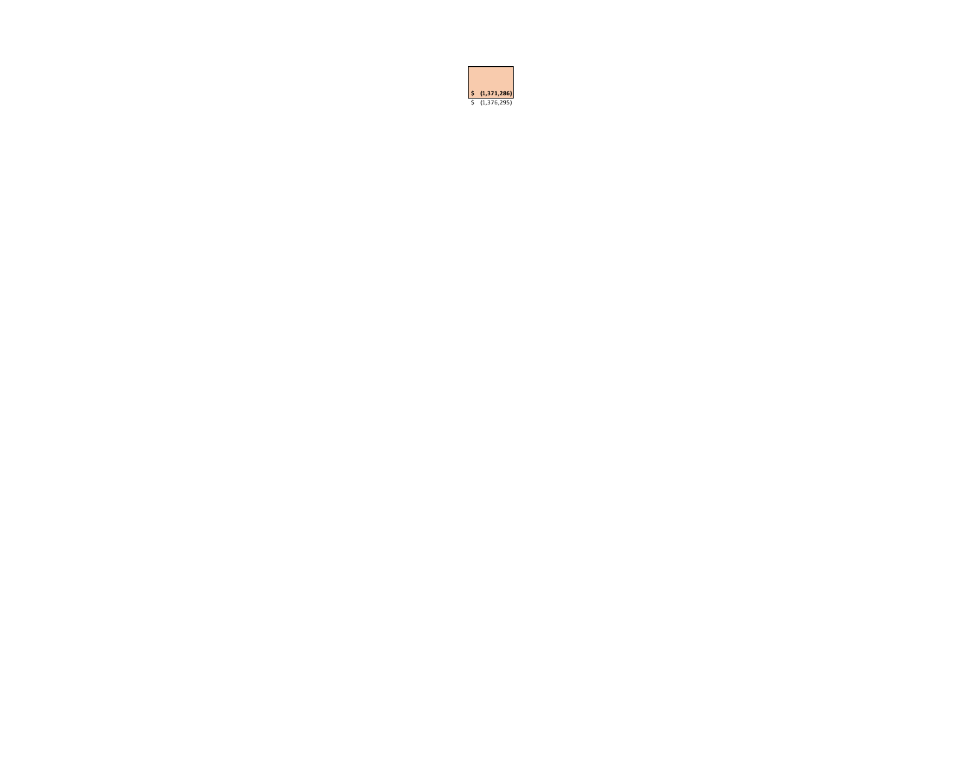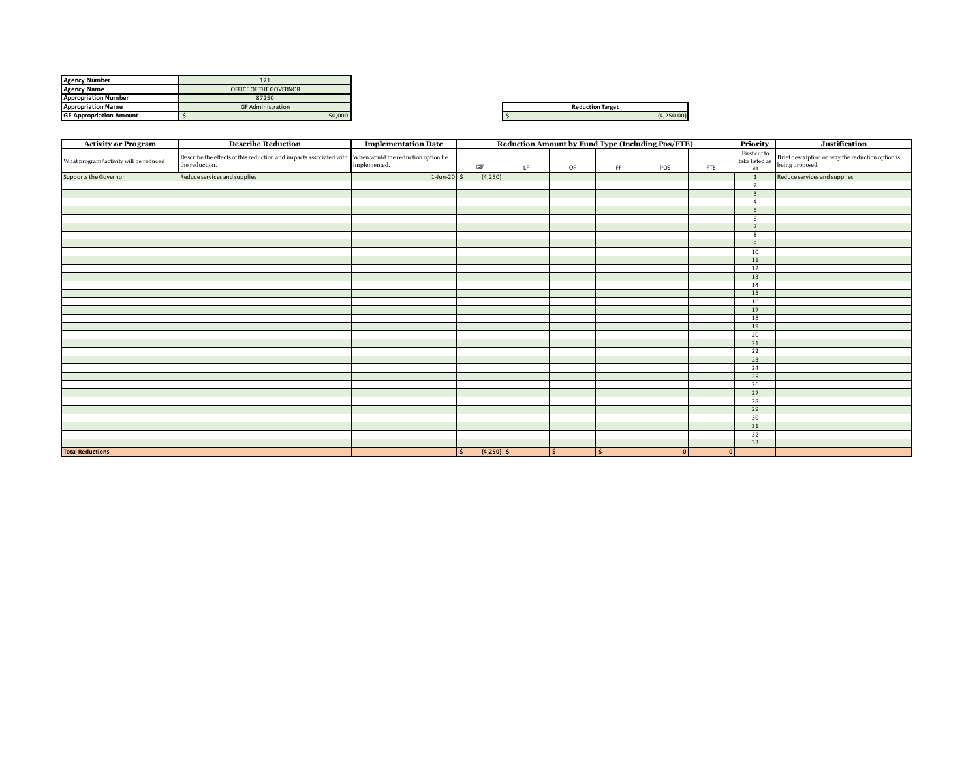| <b>Agency Number</b>           | 121                      |
|--------------------------------|--------------------------|
| <b>Agency Name</b>             | OFFICE OF THE GOVERNOR   |
| <b>Appropriation Number</b>    | 87250                    |
| <b>Appropriation Name</b>      | <b>GF Administration</b> |
| <b>GF Appropriation Amount</b> | 50,000                   |

| <b>Reduction Target</b> |              |  |  |  |  |  |
|-------------------------|--------------|--|--|--|--|--|
|                         | $(A, 2E)$ 00 |  |  |  |  |  |

| <b>Activity or Program</b>            | <b>Describe Reduction</b>                                                                                               | <b>Implementation Date</b> | Reduction Amount by Fund Type (Including Pos/FTE)<br>Priority |             |             |        |     |     |                                                                          | Justification                                                      |
|---------------------------------------|-------------------------------------------------------------------------------------------------------------------------|----------------------------|---------------------------------------------------------------|-------------|-------------|--------|-----|-----|--------------------------------------------------------------------------|--------------------------------------------------------------------|
| What program/activity will be reduced | Describe the effects of this reduction and impacts associated with When would the reduction option be<br>the reduction. | implemented.               | $\operatorname{GF}$                                           | LF          | OF          | FF.    | POS | FTE | First cut to<br>$% \left\vert \cdot \right\vert$ take listed as<br>$\#1$ | Brief description on why the reduction option is<br>being proposed |
| Supports the Governor                 | Reduce services and supplies                                                                                            | $1$ -Jun-20 \$             | (4, 250)                                                      |             |             |        |     |     | $\overline{1}$                                                           | Reduce services and supplies                                       |
|                                       |                                                                                                                         |                            |                                                               |             |             |        |     |     | $\overline{2}$                                                           |                                                                    |
|                                       |                                                                                                                         |                            |                                                               |             |             |        |     |     | $\overline{\mathbf{3}}$                                                  |                                                                    |
|                                       |                                                                                                                         |                            |                                                               |             |             |        |     |     | $\overline{4}$                                                           |                                                                    |
|                                       |                                                                                                                         |                            |                                                               |             |             |        |     |     | 5                                                                        |                                                                    |
|                                       |                                                                                                                         |                            |                                                               |             |             |        |     |     | 6                                                                        |                                                                    |
|                                       |                                                                                                                         |                            |                                                               |             |             |        |     |     | $\overline{7}$                                                           |                                                                    |
|                                       |                                                                                                                         |                            |                                                               |             |             |        |     |     | 8                                                                        |                                                                    |
|                                       |                                                                                                                         |                            |                                                               |             |             |        |     |     | 9                                                                        |                                                                    |
|                                       |                                                                                                                         |                            |                                                               |             |             |        |     |     | 10                                                                       |                                                                    |
|                                       |                                                                                                                         |                            |                                                               |             |             |        |     |     | 11                                                                       |                                                                    |
|                                       |                                                                                                                         |                            |                                                               |             |             |        |     |     | 12                                                                       |                                                                    |
|                                       |                                                                                                                         |                            |                                                               |             |             |        |     |     | 13                                                                       |                                                                    |
|                                       |                                                                                                                         |                            |                                                               |             |             |        |     |     | 14                                                                       |                                                                    |
|                                       |                                                                                                                         |                            |                                                               |             |             |        |     |     | 15                                                                       |                                                                    |
|                                       |                                                                                                                         |                            |                                                               |             |             |        |     |     | 16                                                                       |                                                                    |
|                                       |                                                                                                                         |                            |                                                               |             |             |        |     |     | 17                                                                       |                                                                    |
|                                       |                                                                                                                         |                            |                                                               |             |             |        |     |     | 18                                                                       |                                                                    |
|                                       |                                                                                                                         |                            |                                                               |             |             |        |     |     | 19                                                                       |                                                                    |
|                                       |                                                                                                                         |                            |                                                               |             |             |        |     |     | 20                                                                       |                                                                    |
|                                       |                                                                                                                         |                            |                                                               |             |             |        |     |     | 21                                                                       |                                                                    |
|                                       |                                                                                                                         |                            |                                                               |             |             |        |     |     | 22                                                                       |                                                                    |
|                                       |                                                                                                                         |                            |                                                               |             |             |        |     |     | 23                                                                       |                                                                    |
|                                       |                                                                                                                         |                            |                                                               |             |             |        |     |     | 24                                                                       |                                                                    |
|                                       |                                                                                                                         |                            |                                                               |             |             |        |     |     | 25                                                                       |                                                                    |
|                                       |                                                                                                                         |                            |                                                               |             |             |        |     |     | 26                                                                       |                                                                    |
|                                       |                                                                                                                         |                            |                                                               |             |             |        |     |     | 27                                                                       |                                                                    |
|                                       |                                                                                                                         |                            |                                                               |             |             |        |     |     | 28                                                                       |                                                                    |
|                                       |                                                                                                                         |                            |                                                               |             |             |        |     |     | 29                                                                       |                                                                    |
|                                       |                                                                                                                         |                            |                                                               |             |             |        |     |     | 30                                                                       |                                                                    |
|                                       |                                                                                                                         |                            |                                                               |             |             |        |     |     | 31                                                                       |                                                                    |
|                                       |                                                                                                                         |                            |                                                               |             |             |        |     |     | 32                                                                       |                                                                    |
|                                       |                                                                                                                         |                            |                                                               |             |             |        |     |     | 33                                                                       |                                                                    |
| <b>Total Reductions</b>               |                                                                                                                         |                            | $(4,250)$ \$<br>l \$                                          | $ \sqrt{5}$ | $ \sqrt{5}$ | $\sim$ | 0   | 0   |                                                                          |                                                                    |